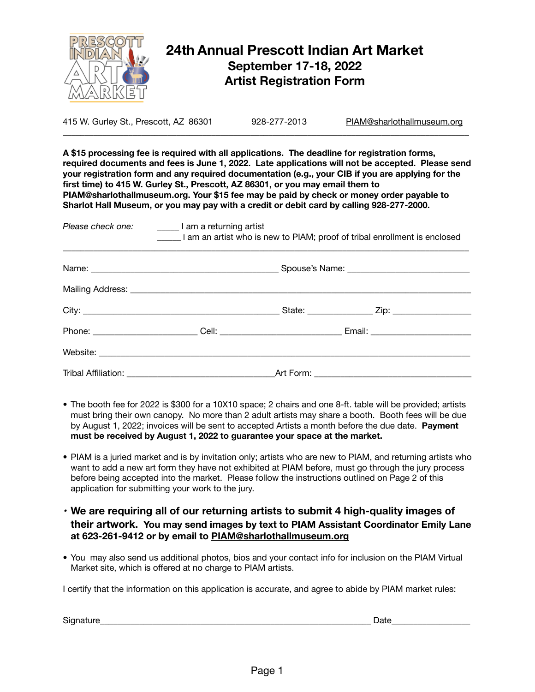

# **24th Annual Prescott Indian Art Market September 17-18, 2022 Artist Registration Form**

415 W. Gurley St., Prescott, AZ 86301 928-277-2013 PIAM@sharlothallmuseum.org  $\mathcal{L}_\mathcal{L} = \{ \mathcal{L}_\mathcal{L} = \{ \mathcal{L}_\mathcal{L} = \{ \mathcal{L}_\mathcal{L} = \{ \mathcal{L}_\mathcal{L} = \{ \mathcal{L}_\mathcal{L} = \{ \mathcal{L}_\mathcal{L} = \{ \mathcal{L}_\mathcal{L} = \{ \mathcal{L}_\mathcal{L} = \{ \mathcal{L}_\mathcal{L} = \{ \mathcal{L}_\mathcal{L} = \{ \mathcal{L}_\mathcal{L} = \{ \mathcal{L}_\mathcal{L} = \{ \mathcal{L}_\mathcal{L} = \{ \mathcal{L}_\mathcal{$ 

**A \$15 processing fee is required with all applications. The deadline for registration forms, required documents and fees is June 1, 2022. Late applications will not be accepted. Please send your registration form and any required documentation (e.g., your CIB if you are applying for the first time) to 415 W. Gurley St., Prescott, AZ 86301, or you may email them to PIAM@sharlothallmuseum.org. Your \$15 fee may be paid by check or money order payable to Sharlot Hall Museum, or you may pay with a credit or debit card by calling 928-277-2000.** 

|  | Please check one: ________ I am a returning artist<br>I am an artist who is new to PIAM; proof of tribal enrollment is enclosed |  |  |  |  |
|--|---------------------------------------------------------------------------------------------------------------------------------|--|--|--|--|
|  |                                                                                                                                 |  |  |  |  |
|  |                                                                                                                                 |  |  |  |  |
|  |                                                                                                                                 |  |  |  |  |
|  | Phone: _________________________Cell: ________________________________Email: _______________________                            |  |  |  |  |
|  |                                                                                                                                 |  |  |  |  |
|  |                                                                                                                                 |  |  |  |  |

- *•* The booth fee for 2022 is \$300 for a 10X10 space; 2 chairs and one 8-ft. table will be provided; artists must bring their own canopy. No more than 2 adult artists may share a booth. Booth fees will be due by August 1, 2022; invoices will be sent to accepted Artists a month before the due date. **Payment must be received by August 1, 2022 to guarantee your space at the market.**
- *•* PIAM is a juried market and is by invitation only; artists who are new to PIAM, and returning artists who want to add a new art form they have not exhibited at PIAM before, must go through the jury process before being accepted into the market. Please follow the instructions outlined on Page 2 of this application for submitting your work to the jury.
- *•* **We are requiring all of our returning artists to submit 4 high-quality images of their artwork. You may send images by text to PIAM Assistant Coordinator Emily Lane at 623-261-9412 or by email to PIAM@sharlothallmuseum.org**
- *•* You may also send us additional photos, bios and your contact info for inclusion on the PIAM Virtual Market site, which is offered at no charge to PIAM artists.

I certify that the information on this application is accurate, and agree to abide by PIAM market rules:

Signature\_\_\_\_\_\_\_\_\_\_\_\_\_\_\_\_\_\_\_\_\_\_\_\_\_\_\_\_\_\_\_\_\_\_\_\_\_\_\_\_\_\_\_\_\_\_\_\_\_\_\_\_\_\_\_\_\_\_\_\_\_\_ Date\_\_\_\_\_\_\_\_\_\_\_\_\_\_\_\_\_\_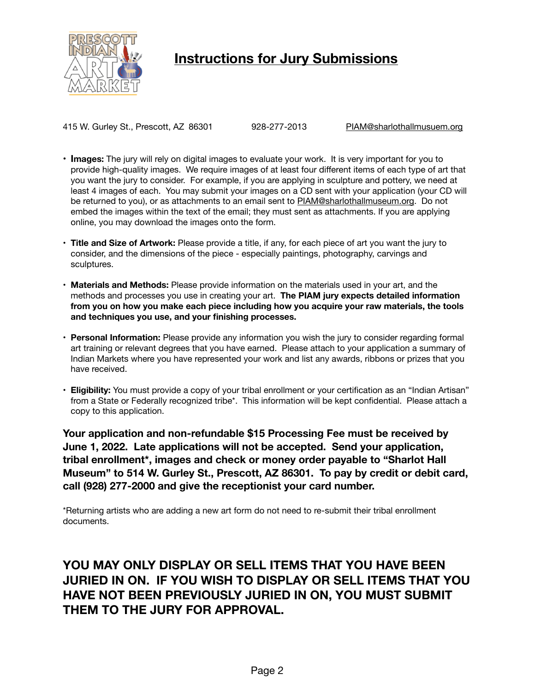

# **Instructions for Jury Submissions**

415 W. Gurley St., Prescott, AZ 86301 928-277-2013 PIAM@sharlothallmusuem.org

- **• Images:** The jury will rely on digital images to evaluate your work. It is very important for you to provide high-quality images. We require images of at least four different items of each type of art that you want the jury to consider. For example, if you are applying in sculpture and pottery, we need at least 4 images of each. You may submit your images on a CD sent with your application (your CD will be returned to you), or as attachments to an email sent to PIAM@sharlothallmuseum.org. Do not embed the images within the text of the email; they must sent as attachments. If you are applying online, you may download the images onto the form.
- **• Title and Size of Artwork:** Please provide a title, if any, for each piece of art you want the jury to consider, and the dimensions of the piece - especially paintings, photography, carvings and sculptures.
- **• Materials and Methods:** Please provide information on the materials used in your art, and the methods and processes you use in creating your art. **The PIAM jury expects detailed information from you on how you make each piece including how you acquire your raw materials, the tools and techniques you use, and your finishing processes.**
- **• Personal Information:** Please provide any information you wish the jury to consider regarding formal art training or relevant degrees that you have earned. Please attach to your application a summary of Indian Markets where you have represented your work and list any awards, ribbons or prizes that you have received.
- **• Eligibility:** You must provide a copy of your tribal enrollment or your certification as an "Indian Artisan" from a State or Federally recognized tribe\*. This information will be kept confidential. Please attach a copy to this application.

**Your application and non-refundable \$15 Processing Fee must be received by June 1, 2022. Late applications will not be accepted. Send your application, tribal enrollment\*, images and check or money order payable to "Sharlot Hall Museum" to 514 W. Gurley St., Prescott, AZ 86301. To pay by credit or debit card, call (928) 277-2000 and give the receptionist your card number.** 

\*Returning artists who are adding a new art form do not need to re-submit their tribal enrollment documents.

# **YOU MAY ONLY DISPLAY OR SELL ITEMS THAT YOU HAVE BEEN JURIED IN ON. IF YOU WISH TO DISPLAY OR SELL ITEMS THAT YOU HAVE NOT BEEN PREVIOUSLY JURIED IN ON, YOU MUST SUBMIT THEM TO THE JURY FOR APPROVAL.**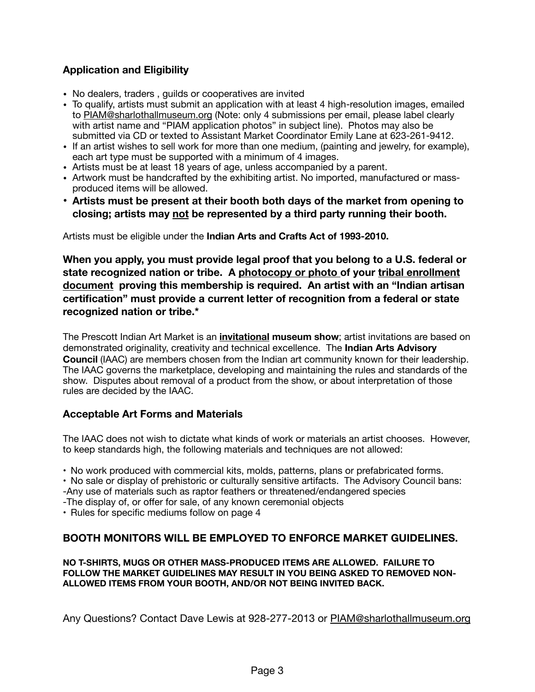## **Application and Eligibility**

- No dealers, traders , guilds or cooperatives are invited
- To qualify, artists must submit an application with at least 4 high-resolution images, emailed to [PIAM@sharlothallmuseum.org](mailto:PIAM@sharlot.org) (Note: only 4 submissions per email, please label clearly with artist name and "PIAM application photos" in subject line). Photos may also be submitted via CD or texted to Assistant Market Coordinator Emily Lane at 623-261-9412.
- If an artist wishes to sell work for more than one medium, (painting and jewelry, for example), each art type must be supported with a minimum of 4 images.
- Artists must be at least 18 years of age, unless accompanied by a parent.
- Artwork must be handcrafted by the exhibiting artist. No imported, manufactured or massproduced items will be allowed.
- **Artists must be present at their booth both days of the market from opening to closing; artists may not be represented by a third party running their booth.**

Artists must be eligible under the **Indian Arts and Crafts Act of 1993-2010.** 

**When you apply, you must provide legal proof that you belong to a U.S. federal or state recognized nation or tribe. A photocopy or photo of your tribal enrollment document proving this membership is required. An artist with an "Indian artisan certification" must provide a current letter of recognition from a federal or state recognized nation or tribe.\*** 

The Prescott Indian Art Market is an **invitational museum show**; artist invitations are based on demonstrated originality, creativity and technical excellence. The **Indian Arts Advisory Council** (IAAC) are members chosen from the Indian art community known for their leadership. The IAAC governs the marketplace, developing and maintaining the rules and standards of the show. Disputes about removal of a product from the show, or about interpretation of those rules are decided by the IAAC.

## **Acceptable Art Forms and Materials**

The IAAC does not wish to dictate what kinds of work or materials an artist chooses. However, to keep standards high, the following materials and techniques are not allowed:

• No work produced with commercial kits, molds, patterns, plans or prefabricated forms.

• No sale or display of prehistoric or culturally sensitive artifacts. The Advisory Council bans:

-Any use of materials such as raptor feathers or threatened/endangered species

-The display of, or offer for sale, of any known ceremonial objects

• Rules for specific mediums follow on page 4

## **BOOTH MONITORS WILL BE EMPLOYED TO ENFORCE MARKET GUIDELINES.**

**NO T-SHIRTS, MUGS OR OTHER MASS-PRODUCED ITEMS ARE ALLOWED. FAILURE TO FOLLOW THE MARKET GUIDELINES MAY RESULT IN YOU BEING ASKED TO REMOVED NON-ALLOWED ITEMS FROM YOUR BOOTH, AND/OR NOT BEING INVITED BACK.** 

Any Questions? Contact Dave Lewis at 928-277-2013 or [PIAM@sharlothallmuseum.org](mailto:PIAM@sharlot.org)